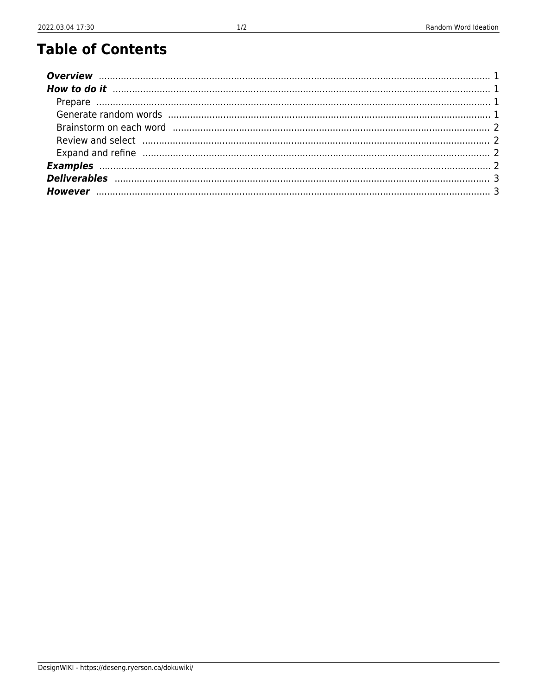## **Table of Contents**

| Review and select manufactured and select manufactured and continuum and contact manufactured and select manufactured and contact and contact and contact and contact and contact and contact and contact and contact and cont |  |
|--------------------------------------------------------------------------------------------------------------------------------------------------------------------------------------------------------------------------------|--|
|                                                                                                                                                                                                                                |  |
|                                                                                                                                                                                                                                |  |
|                                                                                                                                                                                                                                |  |
|                                                                                                                                                                                                                                |  |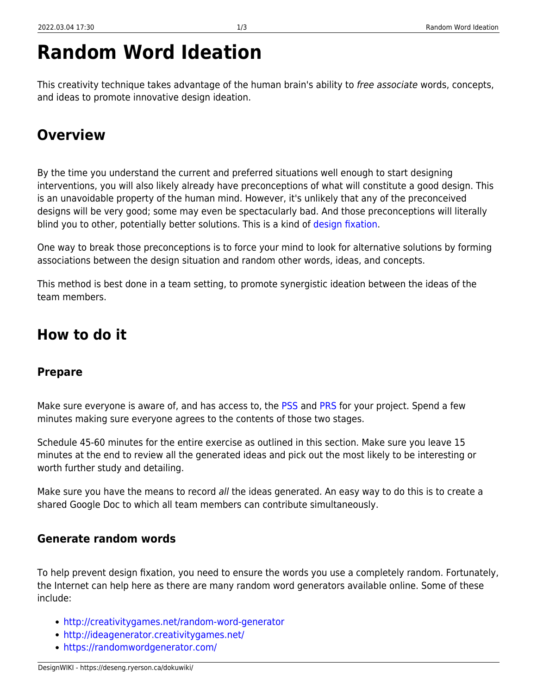# **Random Word Ideation**

This creativity technique takes advantage of the human brain's ability to free associate words, concepts, and ideas to promote innovative design ideation.

### <span id="page-2-0"></span>**Overview**

By the time you understand the current and preferred situations well enough to start designing interventions, you will also likely already have preconceptions of what will constitute a good design. This is an unavoidable property of the human mind. However, it's unlikely that any of the preconceived designs will be very good; some may even be spectacularly bad. And those preconceptions will literally blind you to other, potentially better solutions. This is a kind of [design fixation](https://www.fastcompany.com/3044535/what-is-design-fixation-and-how-can-you-stop-it).

One way to break those preconceptions is to force your mind to look for alternative solutions by forming associations between the design situation and random other words, ideas, and concepts.

This method is best done in a team setting, to promote synergistic ideation between the ideas of the team members.

### <span id="page-2-1"></span>**How to do it**

#### <span id="page-2-2"></span>**Prepare**

Make sure everyone is aware of, and has access to, the [PSS](https://deseng.ryerson.ca/dokuwiki/design:pss) and [PRS](https://deseng.ryerson.ca/dokuwiki/design:prs) for your project. Spend a few minutes making sure everyone agrees to the contents of those two stages.

Schedule 45-60 minutes for the entire exercise as outlined in this section. Make sure you leave 15 minutes at the end to review all the generated ideas and pick out the most likely to be interesting or worth further study and detailing.

Make sure you have the means to record all the ideas generated. An easy way to do this is to create a shared Google Doc to which all team members can contribute simultaneously.

#### <span id="page-2-3"></span>**Generate random words**

To help prevent design fixation, you need to ensure the words you use a completely random. Fortunately, the Internet can help here as there are many random word generators available online. Some of these include:

- <http://creativitygames.net/random-word-generator>
- <http://ideagenerator.creativitygames.net/>
- <https://randomwordgenerator.com/>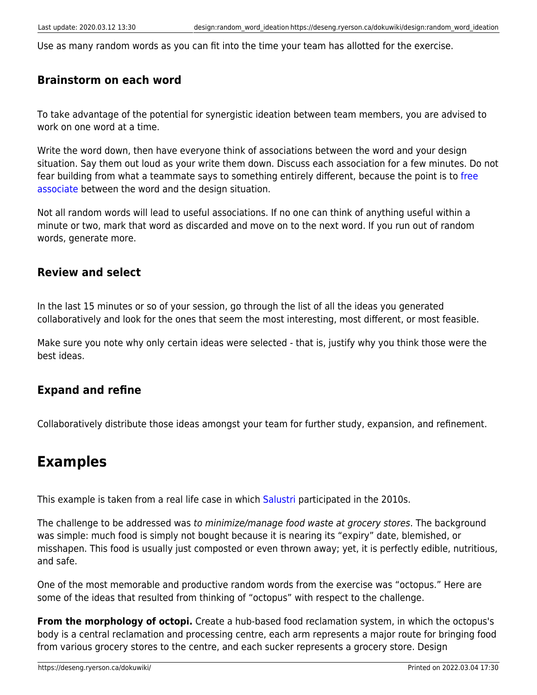Use as many random words as you can fit into the time your team has allotted for the exercise.

#### <span id="page-3-0"></span>**Brainstorm on each word**

To take advantage of the potential for synergistic ideation between team members, you are advised to work on one word at a time.

Write the word down, then have everyone think of associations between the word and your design situation. Say them out loud as your write them down. Discuss each association for a few minutes. Do not fear building from what a teammate says to something entirely different, because the point is to [free](https://en.wikipedia.org/wiki/Free_association_(psychology)) [associate](https://en.wikipedia.org/wiki/Free_association_(psychology)) between the word and the design situation.

Not all random words will lead to useful associations. If no one can think of anything useful within a minute or two, mark that word as discarded and move on to the next word. If you run out of random words, generate more.

#### <span id="page-3-1"></span>**Review and select**

In the last 15 minutes or so of your session, go through the list of all the ideas you generated collaboratively and look for the ones that seem the most interesting, most different, or most feasible.

Make sure you note why only certain ideas were selected - that is, justify why you think those were the best ideas.

#### <span id="page-3-2"></span>**Expand and refine**

Collaboratively distribute those ideas amongst your team for further study, expansion, and refinement.

### <span id="page-3-3"></span>**Examples**

This example is taken from a real life case in which [Salustri](https://filsalustri.wordpress.com/) participated in the 2010s.

The challenge to be addressed was to minimize/manage food waste at grocery stores. The background was simple: much food is simply not bought because it is nearing its "expiry" date, blemished, or misshapen. This food is usually just composted or even thrown away; yet, it is perfectly edible, nutritious, and safe.

One of the most memorable and productive random words from the exercise was "octopus." Here are some of the ideas that resulted from thinking of "octopus" with respect to the challenge.

**From the morphology of octopi.** Create a hub-based food reclamation system, in which the octopus's body is a central reclamation and processing centre, each arm represents a major route for bringing food from various grocery stores to the centre, and each sucker represents a grocery store. Design